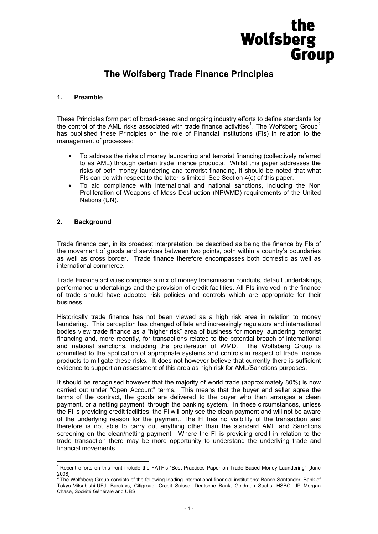# Wolfsberg Group

# **The Wolfsberg Trade Finance Principles**

# **1. Preamble**

These Principles form part of broad-based and ongoing industry efforts to define standards for the control of the AML risks associated with trade finance activities<sup>[1](#page-0-0)</sup>. The Wolfsberg Group<sup>[2](#page-0-1)</sup> has published these Principles on the role of Financial Institutions (FIs) in relation to the management of processes:

- To address the risks of money laundering and terrorist financing (collectively referred to as AML) through certain trade finance products. Whilst this paper addresses the risks of both money laundering and terrorist financing, it should be noted that what FIs can do with respect to the latter is limited. See Section 4(c) of this paper.
- To aid compliance with international and national sanctions, including the Non Proliferation of Weapons of Mass Destruction (NPWMD) requirements of the United Nations (UN).

# **2. Background**

Trade finance can, in its broadest interpretation, be described as being the finance by FIs of the movement of goods and services between two points, both within a country's boundaries as well as cross border. Trade finance therefore encompasses both domestic as well as international commerce.

Trade Finance activities comprise a mix of money transmission conduits, default undertakings, performance undertakings and the provision of credit facilities. All FIs involved in the finance of trade should have adopted risk policies and controls which are appropriate for their business.

Historically trade finance has not been viewed as a high risk area in relation to money laundering. This perception has changed of late and increasingly regulators and international bodies view trade finance as a "higher risk" area of business for money laundering, terrorist financing and, more recently, for transactions related to the potential breach of international and national sanctions, including the proliferation of WMD. The Wolfsberg Group is committed to the application of appropriate systems and controls in respect of trade finance products to mitigate these risks. It does not however believe that currently there is sufficient evidence to support an assessment of this area as high risk for AML/Sanctions purposes.

It should be recognised however that the majority of world trade (approximately 80%) is now carried out under "Open Account" terms. This means that the buyer and seller agree the terms of the contract, the goods are delivered to the buyer who then arranges a clean payment, or a netting payment, through the banking system. In these circumstances, unless the FI is providing credit facilities, the FI will only see the clean payment and will not be aware of the underlying reason for the payment. The FI has no visibility of the transaction and therefore is not able to carry out anything other than the standard AML and Sanctions screening on the clean/netting payment. Where the FI is providing credit in relation to the trade transaction there may be more opportunity to understand the underlying trade and financial movements.

<span id="page-0-0"></span><sup>1&</sup>lt;br><sup>1</sup> Recent efforts on this front include the FATF's "Best Practices Paper on Trade Based Money Laundering" [June 2008]<br><sup>2</sup> The Wolfsberg Group consists of the following leading international financial institutions: Banco Santander, Bank of

<span id="page-0-1"></span>Tokyo-Mitsubishi-UFJ, Barclays, Citigroup, Credit Suisse, Deutsche Bank, Goldman Sachs, HSBC, JP Morgan Chase, Société Générale and UBS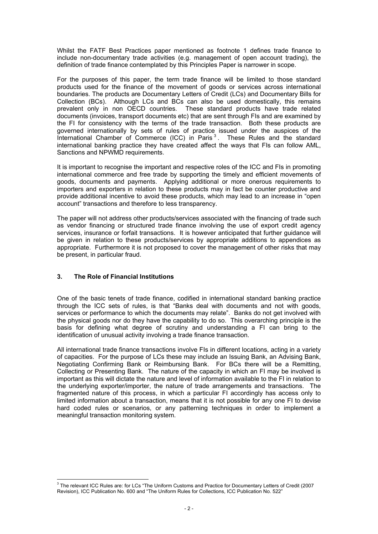Whilst the FATF Best Practices paper mentioned as footnote 1 defines trade finance to include non-documentary trade activities (e.g. management of open account trading), the definition of trade finance contemplated by this Principles Paper is narrower in scope.

For the purposes of this paper, the term trade finance will be limited to those standard products used for the finance of the movement of goods or services across international boundaries. The products are Documentary Letters of Credit (LCs) and Documentary Bills for Collection (BCs). Although LCs and BCs can also be used domestically, this remains prevalent only in non OECD countries. These standard products have trade related documents (invoices, transport documents etc) that are sent through FIs and are examined by the FI for consistency with the terms of the trade transaction. Both these products are governed internationally by sets of rules of practice issued under the auspices of the International Chamber of Commerce (ICC) in Paris<sup>[3](#page-1-0)</sup>. These Rules and the standard international banking practice they have created affect the ways that FIs can follow AML, Sanctions and NPWMD requirements.

It is important to recognise the important and respective roles of the ICC and FIs in promoting international commerce and free trade by supporting the timely and efficient movements of goods, documents and payments. Applying additional or more onerous requirements to importers and exporters in relation to these products may in fact be counter productive and provide additional incentive to avoid these products, which may lead to an increase in "open account" transactions and therefore to less transparency.

The paper will not address other products/services associated with the financing of trade such as vendor financing or structured trade finance involving the use of export credit agency services, insurance or forfait transactions. It is however anticipated that further guidance will be given in relation to these products/services by appropriate additions to appendices as appropriate. Furthermore it is not proposed to cover the management of other risks that may be present, in particular fraud.

# **3. The Role of Financial Institutions**

One of the basic tenets of trade finance, codified in international standard banking practice through the ICC sets of rules, is that "Banks deal with documents and not with goods, services or performance to which the documents may relate". Banks do not get involved with the physical goods nor do they have the capability to do so. This overarching principle is the basis for defining what degree of scrutiny and understanding a FI can bring to the identification of unusual activity involving a trade finance transaction.

All international trade finance transactions involve FIs in different locations, acting in a variety of capacities. For the purpose of LCs these may include an Issuing Bank, an Advising Bank, Negotiating Confirming Bank or Reimbursing Bank. For BCs there will be a Remitting, Collecting or Presenting Bank. The nature of the capacity in which an FI may be involved is important as this will dictate the nature and level of information available to the FI in relation to the underlying exporter/importer, the nature of trade arrangements and transactions. The fragmented nature of this process, in which a particular FI accordingly has access only to limited information about a transaction, means that it is not possible for any one FI to devise hard coded rules or scenarios, or any patterning techniques in order to implement a meaningful transaction monitoring system.

<span id="page-1-0"></span> $\overline{a}$ 3 The relevant ICC Rules are: for LCs "The Uniform Customs and Practice for Documentary Letters of Credit (2007 Revision), ICC Publication No. 600 and "The Uniform Rules for Collections, ICC Publication No. 522"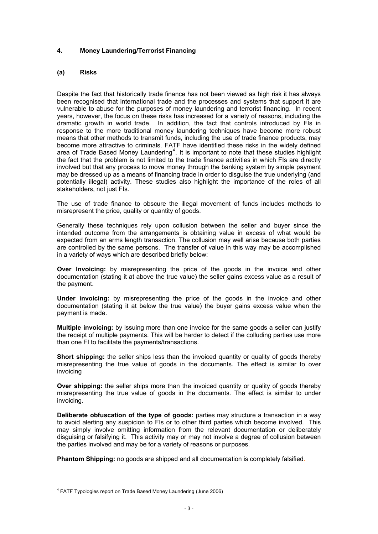# **4. Money Laundering/Terrorist Financing**

#### **(a) Risks**

Despite the fact that historically trade finance has not been viewed as high risk it has always been recognised that international trade and the processes and systems that support it are vulnerable to abuse for the purposes of money laundering and terrorist financing. In recent years, however, the focus on these risks has increased for a variety of reasons, including the dramatic growth in world trade. In addition, the fact that controls introduced by FIs in response to the more traditional money laundering techniques have become more robust means that other methods to transmit funds, including the use of trade finance products, may become more attractive to criminals. FATF have identified these risks in the widely defined area of Trade Based Money Laundering<sup>[4](#page-2-0)</sup>. It is important to note that these studies highlight the fact that the problem is not limited to the trade finance activities in which FIs are directly involved but that any process to move money through the banking system by simple payment may be dressed up as a means of financing trade in order to disguise the true underlying (and potentially illegal) activity. These studies also highlight the importance of the roles of all stakeholders, not just FIs.

The use of trade finance to obscure the illegal movement of funds includes methods to misrepresent the price, quality or quantity of goods.

Generally these techniques rely upon collusion between the seller and buyer since the intended outcome from the arrangements is obtaining value in excess of what would be expected from an arms length transaction. The collusion may well arise because both parties are controlled by the same persons. The transfer of value in this way may be accomplished in a variety of ways which are described briefly below:

**Over Invoicing:** by misrepresenting the price of the goods in the invoice and other documentation (stating it at above the true value) the seller gains excess value as a result of the payment.

**Under invoicing:** by misrepresenting the price of the goods in the invoice and other documentation (stating it at below the true value) the buyer gains excess value when the payment is made.

**Multiple invoicing:** by issuing more than one invoice for the same goods a seller can justify the receipt of multiple payments. This will be harder to detect if the colluding parties use more than one FI to facilitate the payments/transactions.

**Short shipping:** the seller ships less than the invoiced quantity or quality of goods thereby misrepresenting the true value of goods in the documents. The effect is similar to over invoicing

**Over shipping:** the seller ships more than the invoiced quantity or quality of goods thereby misrepresenting the true value of goods in the documents. The effect is similar to under invoicing.

**Deliberate obfuscation of the type of goods:** parties may structure a transaction in a way to avoid alerting any suspicion to FIs or to other third parties which become involved. This may simply involve omitting information from the relevant documentation or deliberately disguising or falsifying it. This activity may or may not involve a degree of collusion between the parties involved and may be for a variety of reasons or purposes.

**Phantom Shipping:** no goods are shipped and all documentation is completely falsified.

<span id="page-2-0"></span> 4 FATF Typologies report on Trade Based Money Laundering (June 2006)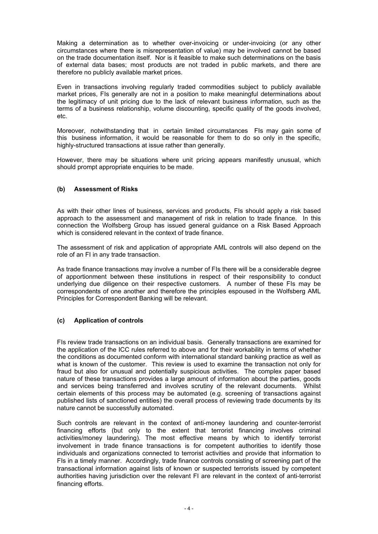Making a determination as to whether over-invoicing or under-invoicing (or any other circumstances where there is misrepresentation of value) may be involved cannot be based on the trade documentation itself. Nor is it feasible to make such determinations on the basis of external data bases; most products are not traded in public markets, and there are therefore no publicly available market prices.

Even in transactions involving regularly traded commodities subject to publicly available market prices, FIs generally are not in a position to make meaningful determinations about the legitimacy of unit pricing due to the lack of relevant business information, such as the terms of a business relationship, volume discounting, specific quality of the goods involved, etc.

Moreover, notwithstanding that in certain limited circumstances FIs may gain some of this business information, it would be reasonable for them to do so only in the specific, highly-structured transactions at issue rather than generally.

However, there may be situations where unit pricing appears manifestly unusual, which should prompt appropriate enquiries to be made.

# **(b) Assessment of Risks**

As with their other lines of business, services and products, FIs should apply a risk based approach to the assessment and management of risk in relation to trade finance. In this connection the Wolfsberg Group has issued general guidance on a Risk Based Approach which is considered relevant in the context of trade finance.

The assessment of risk and application of appropriate AML controls will also depend on the role of an FI in any trade transaction.

As trade finance transactions may involve a number of FIs there will be a considerable degree of apportionment between these institutions in respect of their responsibility to conduct underlying due diligence on their respective customers. A number of these FIs may be correspondents of one another and therefore the principles espoused in the Wolfsberg AML Principles for Correspondent Banking will be relevant.

# **(c) Application of controls**

FIs review trade transactions on an individual basis. Generally transactions are examined for the application of the ICC rules referred to above and for their workability in terms of whether the conditions as documented conform with international standard banking practice as well as what is known of the customer. This review is used to examine the transaction not only for fraud but also for unusual and potentially suspicious activities. The complex paper based nature of these transactions provides a large amount of information about the parties, goods and services being transferred and involves scrutiny of the relevant documents. Whilst certain elements of this process may be automated (e.g. screening of transactions against published lists of sanctioned entities) the overall process of reviewing trade documents by its nature cannot be successfully automated.

Such controls are relevant in the context of anti-money laundering and counter-terrorist financing efforts (but only to the extent that terrorist financing involves criminal activities/money laundering). The most effective means by which to identify terrorist involvement in trade finance transactions is for competent authorities to identify those individuals and organizations connected to terrorist activities and provide that information to FIs in a timely manner. Accordingly, trade finance controls consisting of screening part of the transactional information against lists of known or suspected terrorists issued by competent authorities having jurisdiction over the relevant FI are relevant in the context of anti-terrorist financing efforts.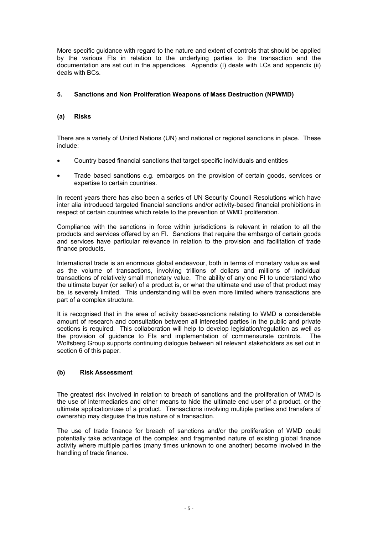More specific guidance with regard to the nature and extent of controls that should be applied by the various FIs in relation to the underlying parties to the transaction and the documentation are set out in the appendices. Appendix (I) deals with LCs and appendix (ii) deals with BCs.

# **5. Sanctions and Non Proliferation Weapons of Mass Destruction (NPWMD)**

#### **(a) Risks**

There are a variety of United Nations (UN) and national or regional sanctions in place. These include:

- Country based financial sanctions that target specific individuals and entities
- Trade based sanctions e.g. embargos on the provision of certain goods, services or expertise to certain countries.

In recent years there has also been a series of UN Security Council Resolutions which have inter alia introduced targeted financial sanctions and/or activity-based financial prohibitions in respect of certain countries which relate to the prevention of WMD proliferation.

Compliance with the sanctions in force within jurisdictions is relevant in relation to all the products and services offered by an FI. Sanctions that require the embargo of certain goods and services have particular relevance in relation to the provision and facilitation of trade finance products.

International trade is an enormous global endeavour, both in terms of monetary value as well as the volume of transactions, involving trillions of dollars and millions of individual transactions of relatively small monetary value. The ability of any one FI to understand who the ultimate buyer (or seller) of a product is, or what the ultimate end use of that product may be, is severely limited. This understanding will be even more limited where transactions are part of a complex structure.

It is recognised that in the area of activity based-sanctions relating to WMD a considerable amount of research and consultation between all interested parties in the public and private sections is required. This collaboration will help to develop legislation/regulation as well as the provision of guidance to FIs and implementation of commensurate controls. The Wolfsberg Group supports continuing dialogue between all relevant stakeholders as set out in section 6 of this paper.

# **(b) Risk Assessment**

The greatest risk involved in relation to breach of sanctions and the proliferation of WMD is the use of intermediaries and other means to hide the ultimate end user of a product, or the ultimate application/use of a product. Transactions involving multiple parties and transfers of ownership may disguise the true nature of a transaction.

The use of trade finance for breach of sanctions and/or the proliferation of WMD could potentially take advantage of the complex and fragmented nature of existing global finance activity where multiple parties (many times unknown to one another) become involved in the handling of trade finance.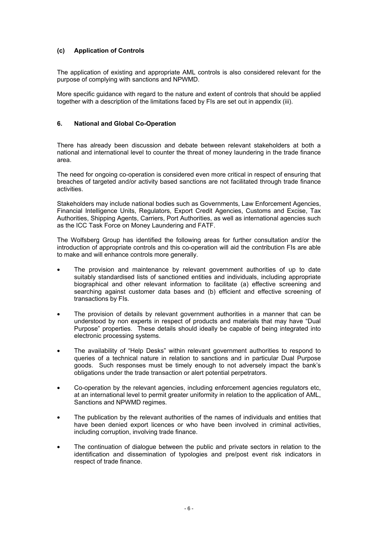# **(c) Application of Controls**

The application of existing and appropriate AML controls is also considered relevant for the purpose of complying with sanctions and NPWMD.

More specific guidance with regard to the nature and extent of controls that should be applied together with a description of the limitations faced by FIs are set out in appendix (iii).

## **6. National and Global Co-Operation**

There has already been discussion and debate between relevant stakeholders at both a national and international level to counter the threat of money laundering in the trade finance area.

The need for ongoing co-operation is considered even more critical in respect of ensuring that breaches of targeted and/or activity based sanctions are not facilitated through trade finance activities.

Stakeholders may include national bodies such as Governments, Law Enforcement Agencies, Financial Intelligence Units, Regulators, Export Credit Agencies, Customs and Excise, Tax Authorities, Shipping Agents, Carriers, Port Authorities, as well as international agencies such as the ICC Task Force on Money Laundering and FATF.

The Wolfsberg Group has identified the following areas for further consultation and/or the introduction of appropriate controls and this co-operation will aid the contribution FIs are able to make and will enhance controls more generally.

- The provision and maintenance by relevant government authorities of up to date suitably standardised lists of sanctioned entities and individuals, including appropriate biographical and other relevant information to facilitate (a) effective screening and searching against customer data bases and (b) efficient and effective screening of transactions by FIs.
- The provision of details by relevant government authorities in a manner that can be understood by non experts in respect of products and materials that may have "Dual Purpose" properties. These details should ideally be capable of being integrated into electronic processing systems.
- The availability of "Help Desks" within relevant government authorities to respond to queries of a technical nature in relation to sanctions and in particular Dual Purpose goods. Such responses must be timely enough to not adversely impact the bank's obligations under the trade transaction or alert potential perpetrators.
- Co-operation by the relevant agencies, including enforcement agencies regulators etc, at an international level to permit greater uniformity in relation to the application of AML, Sanctions and NPWMD regimes.
- The publication by the relevant authorities of the names of individuals and entities that have been denied export licences or who have been involved in criminal activities, including corruption, involving trade finance.
- The continuation of dialogue between the public and private sectors in relation to the identification and dissemination of typologies and pre/post event risk indicators in respect of trade finance.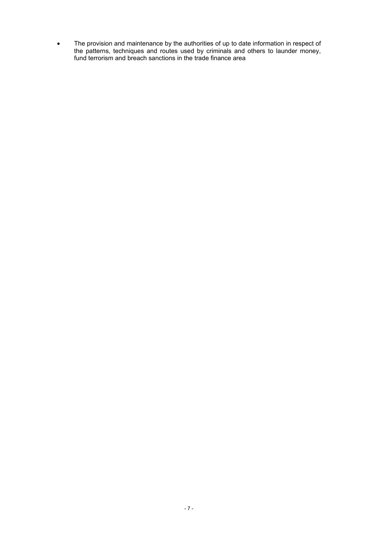• The provision and maintenance by the authorities of up to date information in respect of the patterns, techniques and routes used by criminals and others to launder money, fund terrorism and breach sanctions in the trade finance area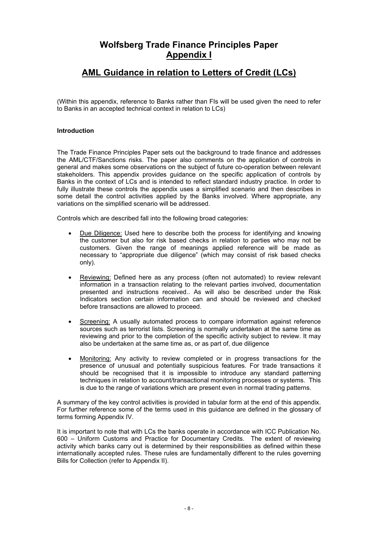# **Wolfsberg Trade Finance Principles Paper Appendix I**

# **AML Guidance in relation to Letters of Credit (LCs)**

(Within this appendix, reference to Banks rather than FIs will be used given the need to refer to Banks in an accepted technical context in relation to LCs)

## **Introduction**

The Trade Finance Principles Paper sets out the background to trade finance and addresses the AML/CTF/Sanctions risks. The paper also comments on the application of controls in general and makes some observations on the subject of future co-operation between relevant stakeholders. This appendix provides guidance on the specific application of controls by Banks in the context of LCs and is intended to reflect standard industry practice. In order to fully illustrate these controls the appendix uses a simplified scenario and then describes in some detail the control activities applied by the Banks involved. Where appropriate, any variations on the simplified scenario will be addressed.

Controls which are described fall into the following broad categories:

- Due Diligence: Used here to describe both the process for identifying and knowing the customer but also for risk based checks in relation to parties who may not be customers. Given the range of meanings applied reference will be made as necessary to "appropriate due diligence" (which may consist of risk based checks only).
- Reviewing: Defined here as any process (often not automated) to review relevant information in a transaction relating to the relevant parties involved, documentation presented and instructions received.. As will also be described under the Risk Indicators section certain information can and should be reviewed and checked before transactions are allowed to proceed.
- Screening: A usually automated process to compare information against reference sources such as terrorist lists. Screening is normally undertaken at the same time as reviewing and prior to the completion of the specific activity subject to review. It may also be undertaken at the same time as, or as part of, due diligence
- Monitoring: Any activity to review completed or in progress transactions for the presence of unusual and potentially suspicious features. For trade transactions it should be recognised that it is impossible to introduce any standard patterning techniques in relation to account/transactional monitoring processes or systems. This is due to the range of variations which are present even in normal trading patterns.

A summary of the key control activities is provided in tabular form at the end of this appendix. For further reference some of the terms used in this guidance are defined in the glossary of terms forming Appendix IV.

It is important to note that with LCs the banks operate in accordance with ICC Publication No. 600 – Uniform Customs and Practice for Documentary Credits. The extent of reviewing activity which banks carry out is determined by their responsibilities as defined within these internationally accepted rules. These rules are fundamentally different to the rules governing Bills for Collection (refer to Appendix II).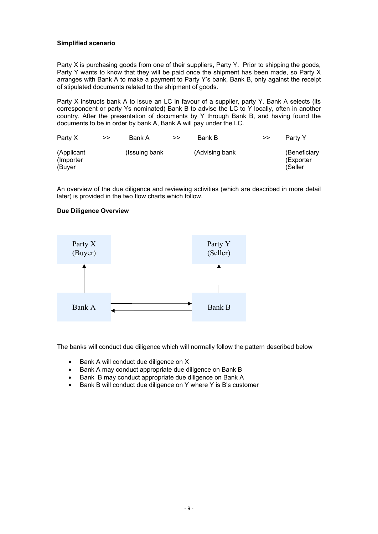# **Simplified scenario**

Party X is purchasing goods from one of their suppliers, Party Y. Prior to shipping the goods, Party Y wants to know that they will be paid once the shipment has been made, so Party X arranges with Bank A to make a payment to Party Y's bank, Bank B, only against the receipt of stipulated documents related to the shipment of goods.

Party X instructs bank A to issue an LC in favour of a supplier, party Y. Bank A selects (its correspondent or party Ys nominated) Bank B to advise the LC to Y locally, often in another country. After the presentation of documents by Y through Bank B, and having found the documents to be in order by bank A, Bank A will pay under the LC.

| Party X                            | >> | Bank A         | >> | Bank B         | >> | Party Y                              |
|------------------------------------|----|----------------|----|----------------|----|--------------------------------------|
| (Applicant<br>(Importer)<br>(Buyer |    | (Issuing bank) |    | (Advising bank |    | (Beneficiary<br>(Exporter<br>(Seller |

An overview of the due diligence and reviewing activities (which are described in more detail later) is provided in the two flow charts which follow.

#### **Due Diligence Overview**



The banks will conduct due diligence which will normally follow the pattern described below

- Bank A will conduct due diligence on X
- Bank A may conduct appropriate due diligence on Bank B
- Bank B may conduct appropriate due diligence on Bank A
- Bank B will conduct due diligence on Y where Y is B's customer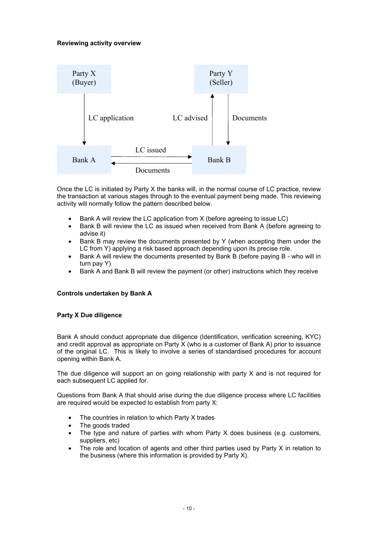# **Reviewing activity overview**



Once the LC is initiated by Party X the banks will, in the normal course of LC practice, review the transaction at various stages through to the eventual payment being made. This reviewing activity will normally follow the pattern described below.

- Bank A will review the LC application from X (before agreeing to issue LC)
- Bank B will review the LC as issued when received from Bank A (before agreeing to advise it)
- Bank B may review the documents presented by Y (when accepting them under the LC from Y) applying a risk based approach depending upon its precise role.
- Bank A will review the documents presented by Bank B (before paying B who will in turn pay Y)
- Bank A and Bank B will review the payment (or other) instructions which they receive

# **Controls undertaken by Bank A**

# **Party X Due diligence**

Bank A should conduct appropriate due diligence (Identification, verification screening, KYC) and credit approval as appropriate on Party X (who is a customer of Bank A) prior to issuance of the original LC. This is likely to involve a series of standardised procedures for account opening within Bank A.

The due diligence will support an on going relationship with party X and is not required for each subsequent LC applied for.

Questions from Bank A that should arise during the due diligence process where LC facilities are required would be expected to establish from party X:

- The countries in relation to which Party X trades
- The goods traded
- The type and nature of parties with whom Party X does business (e.g. customers, suppliers, etc)
- The role and location of agents and other third parties used by Party X in relation to the business (where this information is provided by Party X).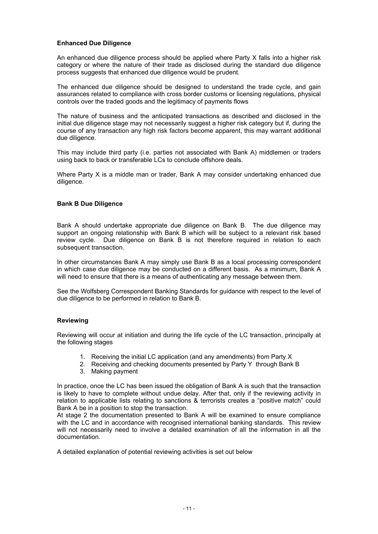### **Enhanced Due Diligence**

An enhanced due diligence process should be applied where Party X falls into a higher risk category or where the nature of their trade as disclosed during the standard due diligence process suggests that enhanced due diligence would be prudent.

The enhanced due diligence should be designed to understand the trade cycle, and gain assurances related to compliance with cross border customs or licensing regulations, physical controls over the traded goods and the legitimacy of payments flows

The nature of business and the anticipated transactions as described and disclosed in the initial due diligence stage may not necessarily suggest a higher risk category but if, during the course of any transaction any high risk factors become apparent, this may warrant additional due diligence.

This may include third party (i.e. parties not associated with Bank A) middlemen or traders using back to back or transferable LCs to conclude offshore deals.

Where Party X is a middle man or trader, Bank A may consider undertaking enhanced due diligence.

#### **Bank B Due Diligence**

Bank A should undertake appropriate due diligence on Bank B. The due diligence may support an ongoing relationship with Bank B which will be subject to a relevant risk based review cycle. Due diligence on Bank B is not therefore required in relation to each subsequent transaction.

In other circumstances Bank A may simply use Bank B as a local processing correspondent in which case due diligence may be conducted on a different basis. As a minimum, Bank A will need to ensure that there is a means of authenticating any message between them.

See the Wolfsberg Correspondent Banking Standards for guidance with respect to the level of due diligence to be performed in relation to Bank B.

#### **Reviewing**

Reviewing will occur at initiation and during the life cycle of the LC transaction, principally at the following stages

- 1. Receiving the initial LC application (and any amendments) from Party X
- 2. Receiving and checking documents presented by Party Y through Bank B
- 3. Making payment

In practice, once the LC has been issued the obligation of Bank A is such that the transaction is likely to have to complete without undue delay. After that, only if the reviewing activity in relation to applicable lists relating to sanctions & terrorists creates a "positive match" could Bank A be in a position to stop the transaction.

At stage 2 the documentation presented to Bank A will be examined to ensure compliance with the LC and in accordance with recognised international banking standards. This review will not necessarily need to involve a detailed examination of all the information in all the documentation.

A detailed explanation of potential reviewing activities is set out below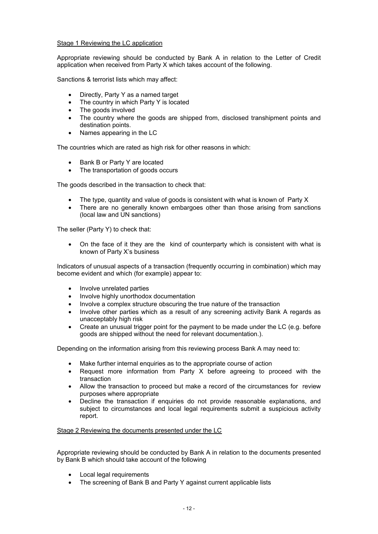## Stage 1 Reviewing the LC application

Appropriate reviewing should be conducted by Bank A in relation to the Letter of Credit application when received from Party X which takes account of the following.

Sanctions & terrorist lists which may affect:

- Directly, Party Y as a named target
- The country in which Party Y is located
- The goods involved
- The country where the goods are shipped from, disclosed transhipment points and destination points.
- Names appearing in the LC

The countries which are rated as high risk for other reasons in which:

- Bank B or Party Y are located
- The transportation of goods occurs

The goods described in the transaction to check that:

- The type, quantity and value of goods is consistent with what is known of Party X
- There are no generally known embargoes other than those arising from sanctions (local law and UN sanctions)

The seller (Party Y) to check that:

• On the face of it they are the kind of counterparty which is consistent with what is known of Party X's business

Indicators of unusual aspects of a transaction (frequently occurring in combination) which may become evident and which (for example) appear to:

- Involve unrelated parties
- Involve highly unorthodox documentation
- Involve a complex structure obscuring the true nature of the transaction
- Involve other parties which as a result of any screening activity Bank A regards as unacceptably high risk
- Create an unusual trigger point for the payment to be made under the LC (e.g. before goods are shipped without the need for relevant documentation.).

Depending on the information arising from this reviewing process Bank A may need to:

- Make further internal enquiries as to the appropriate course of action
- Request more information from Party X before agreeing to proceed with the transaction
- Allow the transaction to proceed but make a record of the circumstances for review purposes where appropriate
- Decline the transaction if enquiries do not provide reasonable explanations, and subject to circumstances and local legal requirements submit a suspicious activity report.

Stage 2 Reviewing the documents presented under the LC

Appropriate reviewing should be conducted by Bank A in relation to the documents presented by Bank B which should take account of the following

- Local legal requirements
- The screening of Bank B and Party Y against current applicable lists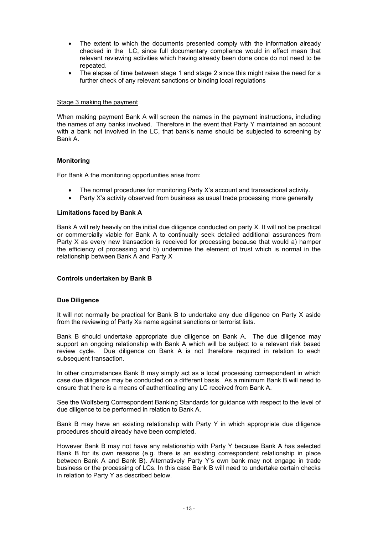- The extent to which the documents presented comply with the information already checked in the LC, since full documentary compliance would in effect mean that relevant reviewing activities which having already been done once do not need to be repeated.
- The elapse of time between stage 1 and stage 2 since this might raise the need for a further check of any relevant sanctions or binding local regulations

#### Stage 3 making the payment

When making payment Bank A will screen the names in the payment instructions, including the names of any banks involved. Therefore in the event that Party Y maintained an account with a bank not involved in the LC, that bank's name should be subjected to screening by Bank A.

# **Monitoring**

For Bank A the monitoring opportunities arise from:

- The normal procedures for monitoring Party X's account and transactional activity.
- Party X's activity observed from business as usual trade processing more generally

#### **Limitations faced by Bank A**

Bank A will rely heavily on the initial due diligence conducted on party X. It will not be practical or commercially viable for Bank A to continually seek detailed additional assurances from Party X as every new transaction is received for processing because that would a) hamper the efficiency of processing and b) undermine the element of trust which is normal in the relationship between Bank A and Party X

#### **Controls undertaken by Bank B**

#### **Due Diligence**

It will not normally be practical for Bank B to undertake any due diligence on Party X aside from the reviewing of Party Xs name against sanctions or terrorist lists.

Bank B should undertake appropriate due diligence on Bank A. The due diligence may support an ongoing relationship with Bank A which will be subject to a relevant risk based review cycle. Due diligence on Bank A is not therefore required in relation to each subsequent transaction.

In other circumstances Bank B may simply act as a local processing correspondent in which case due diligence may be conducted on a different basis. As a minimum Bank B will need to ensure that there is a means of authenticating any LC received from Bank A.

See the Wolfsberg Correspondent Banking Standards for guidance with respect to the level of due diligence to be performed in relation to Bank A.

Bank B may have an existing relationship with Party Y in which appropriate due diligence procedures should already have been completed.

However Bank B may not have any relationship with Party Y because Bank A has selected Bank B for its own reasons (e.g. there is an existing correspondent relationship in place between Bank A and Bank B). Alternatively Party Y's own bank may not engage in trade business or the processing of LCs. In this case Bank B will need to undertake certain checks in relation to Party Y as described below.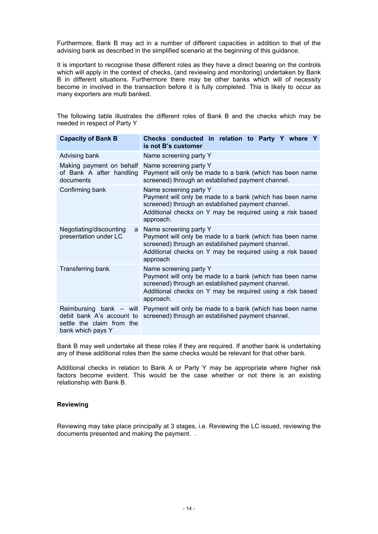Furthermore, Bank B may act in a number of different capacities in addition to that of the advising bank as described in the simplified scenario at the beginning of this guidance.

It is important to recognise these different roles as they have a direct bearing on the controls which will apply in the context of checks, (and reviewing and monitoring) undertaken by Bank B in different situations. Furthermore there may be other banks which will of necessity become in involved in the transaction before it is fully completed. This is likely to occur as many exporters are multi banked.

The following table illustrates the different roles of Bank B and the checks which may be needed in respect of Party Y

| <b>Capacity of Bank B</b>                                                                              | Checks conducted in relation to Party Y where Y<br>is not B's customer                                                                                                                                            |
|--------------------------------------------------------------------------------------------------------|-------------------------------------------------------------------------------------------------------------------------------------------------------------------------------------------------------------------|
| Advising bank                                                                                          | Name screening party Y                                                                                                                                                                                            |
| Making payment on behalf<br>of Bank A after handling<br>documents                                      | Name screening party Y<br>Payment will only be made to a bank (which has been name<br>screened) through an established payment channel.                                                                           |
| Confirming bank                                                                                        | Name screening party Y<br>Payment will only be made to a bank (which has been name<br>screened) through an established payment channel.<br>Additional checks on Y may be required using a risk based<br>approach. |
| Negotiating/discounting<br>a<br>presentation under LC                                                  | Name screening party Y<br>Payment will only be made to a bank (which has been name<br>screened) through an established payment channel.<br>Additional checks on Y may be required using a risk based<br>approach  |
| Transferring bank                                                                                      | Name screening party Y<br>Payment will only be made to a bank (which has been name<br>screened) through an established payment channel.<br>Additional checks on Y may be required using a risk based<br>approach. |
| Reimbursing bank - will<br>debit bank A's account to<br>settle the claim from the<br>bank which pays Y | Payment will only be made to a bank (which has been name<br>screened) through an established payment channel.                                                                                                     |

Bank B may well undertake all these roles if they are required. If another bank is undertaking any of these additional roles then the same checks would be relevant for that other bank.

Additional checks in relation to Bank A or Party Y may be appropriate where higher risk factors become evident. This would be the case whether or not there is an existing relationship with Bank B.

#### **Reviewing**

Reviewing may take place principally at 3 stages, i.e. Reviewing the LC issued, reviewing the documents presented and making the payment. .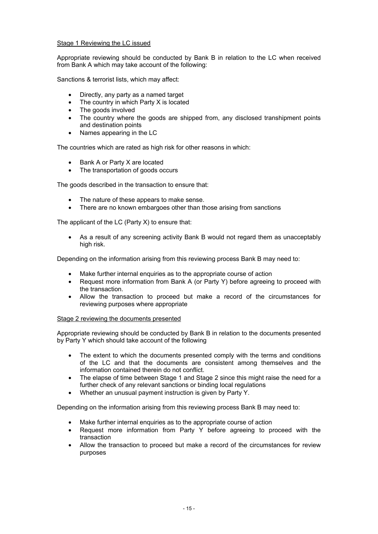## Stage 1 Reviewing the LC issued

Appropriate reviewing should be conducted by Bank B in relation to the LC when received from Bank A which may take account of the following:

Sanctions & terrorist lists, which may affect:

- Directly, any party as a named target
- The country in which Party X is located
- The goods involved
- The country where the goods are shipped from, any disclosed transhipment points and destination points
- Names appearing in the LC

The countries which are rated as high risk for other reasons in which:

- Bank A or Party X are located
- The transportation of goods occurs

The goods described in the transaction to ensure that:

- The nature of these appears to make sense.
- There are no known embargoes other than those arising from sanctions

The applicant of the LC (Party X) to ensure that:

• As a result of any screening activity Bank B would not regard them as unacceptably high risk.

Depending on the information arising from this reviewing process Bank B may need to:

- Make further internal enquiries as to the appropriate course of action
- Request more information from Bank A (or Party Y) before agreeing to proceed with the transaction.
- Allow the transaction to proceed but make a record of the circumstances for reviewing purposes where appropriate

#### Stage 2 reviewing the documents presented

Appropriate reviewing should be conducted by Bank B in relation to the documents presented by Party Y which should take account of the following

- The extent to which the documents presented comply with the terms and conditions of the LC and that the documents are consistent among themselves and the information contained therein do not conflict.
- The elapse of time between Stage 1 and Stage 2 since this might raise the need for a further check of any relevant sanctions or binding local regulations
- Whether an unusual payment instruction is given by Party Y.

Depending on the information arising from this reviewing process Bank B may need to:

- Make further internal enquiries as to the appropriate course of action
- Request more information from Party Y before agreeing to proceed with the transaction
- Allow the transaction to proceed but make a record of the circumstances for review purposes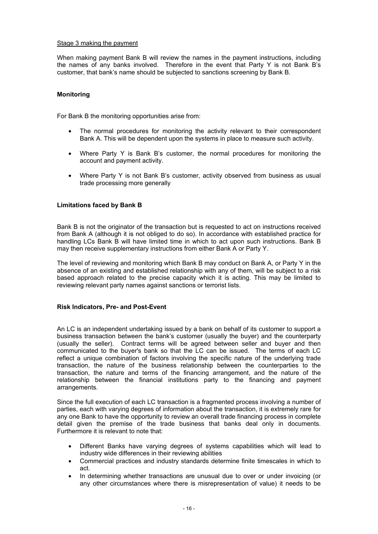### Stage 3 making the payment

When making payment Bank B will review the names in the payment instructions, including the names of any banks involved. Therefore in the event that Party Y is not Bank B's customer, that bank's name should be subjected to sanctions screening by Bank B.

## **Monitoring**

For Bank B the monitoring opportunities arise from:

- The normal procedures for monitoring the activity relevant to their correspondent Bank A. This will be dependent upon the systems in place to measure such activity.
- Where Party Y is Bank B's customer, the normal procedures for monitoring the account and payment activity.
- Where Party Y is not Bank B's customer, activity observed from business as usual trade processing more generally

#### **Limitations faced by Bank B**

Bank B is not the originator of the transaction but is requested to act on instructions received from Bank A (although it is not obliged to do so). In accordance with established practice for handling LCs Bank B will have limited time in which to act upon such instructions. Bank B may then receive supplementary instructions from either Bank A or Party Y.

The level of reviewing and monitoring which Bank B may conduct on Bank A, or Party Y in the absence of an existing and established relationship with any of them, will be subject to a risk based approach related to the precise capacity which it is acting. This may be limited to reviewing relevant party names against sanctions or terrorist lists.

#### **Risk Indicators, Pre- and Post-Event**

An LC is an independent undertaking issued by a bank on behalf of its customer to support a business transaction between the bank's customer (usually the buyer) and the counterparty (usually the seller). Contract terms will be agreed between seller and buyer and then communicated to the buyer's bank so that the LC can be issued. The terms of each LC reflect a unique combination of factors involving the specific nature of the underlying trade transaction, the nature of the business relationship between the counterparties to the transaction, the nature and terms of the financing arrangement, and the nature of the relationship between the financial institutions party to the financing and payment arrangements.

Since the full execution of each LC transaction is a fragmented process involving a number of parties, each with varying degrees of information about the transaction, it is extremely rare for any one Bank to have the opportunity to review an overall trade financing process in complete detail given the premise of the trade business that banks deal only in documents. Furthermore it is relevant to note that:

- Different Banks have varying degrees of systems capabilities which will lead to industry wide differences in their reviewing abilities
- Commercial practices and industry standards determine finite timescales in which to act.
- In determining whether transactions are unusual due to over or under invoicing (or any other circumstances where there is misrepresentation of value) it needs to be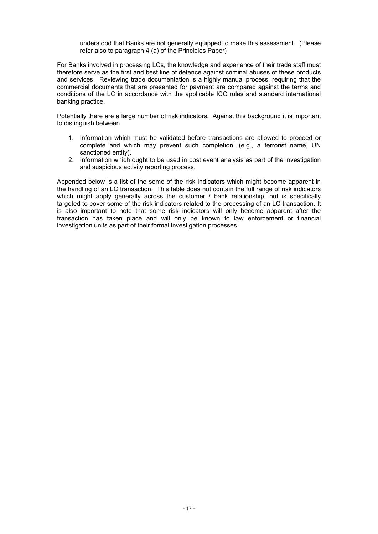understood that Banks are not generally equipped to make this assessment. (Please refer also to paragraph 4 (a) of the Principles Paper)

For Banks involved in processing LCs, the knowledge and experience of their trade staff must therefore serve as the first and best line of defence against criminal abuses of these products and services. Reviewing trade documentation is a highly manual process, requiring that the commercial documents that are presented for payment are compared against the terms and conditions of the LC in accordance with the applicable ICC rules and standard international banking practice.

Potentially there are a large number of risk indicators. Against this background it is important to distinguish between

- 1. Information which must be validated before transactions are allowed to proceed or complete and which may prevent such completion. (e.g., a terrorist name, UN sanctioned entity).
- 2. Information which ought to be used in post event analysis as part of the investigation and suspicious activity reporting process.

Appended below is a list of the some of the risk indicators which might become apparent in the handling of an LC transaction. This table does not contain the full range of risk indicators which might apply generally across the customer / bank relationship, but is specifically targeted to cover some of the risk indicators related to the processing of an LC transaction. It is also important to note that some risk indicators will only become apparent after the transaction has taken place and will only be known to law enforcement or financial investigation units as part of their formal investigation processes.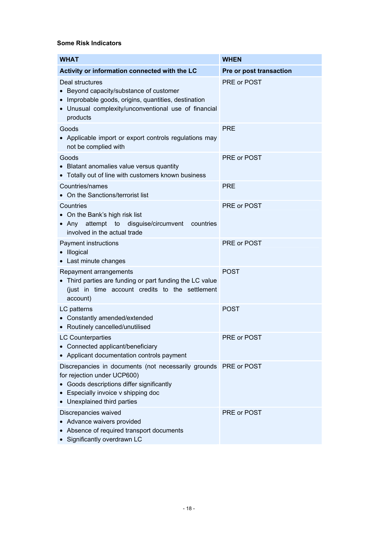# **Some Risk Indicators**

| <b>WHAT</b>                                                                                                                                                                                                     | <b>WHEN</b>             |
|-----------------------------------------------------------------------------------------------------------------------------------------------------------------------------------------------------------------|-------------------------|
| Activity or information connected with the LC                                                                                                                                                                   | Pre or post transaction |
| Deal structures<br>• Beyond capacity/substance of customer<br>• Improbable goods, origins, quantities, destination<br>• Unusual complexity/unconventional use of financial<br>products                          | PRE or POST             |
| Goods<br>• Applicable import or export controls regulations may<br>not be complied with                                                                                                                         | <b>PRE</b>              |
| Goods<br>• Blatant anomalies value versus quantity<br>• Totally out of line with customers known business                                                                                                       | PRE or POST             |
| Countries/names<br>• On the Sanctions/terrorist list                                                                                                                                                            | <b>PRE</b>              |
| Countries<br>• On the Bank's high risk list<br>• Any attempt to disguise/circumvent<br>countries<br>involved in the actual trade                                                                                | PRE or POST             |
| Payment instructions<br>• Illogical<br>• Last minute changes                                                                                                                                                    | PRE or POST             |
| Repayment arrangements<br>• Third parties are funding or part funding the LC value<br>(just in time account credits to the settlement<br>account)                                                               | <b>POST</b>             |
| LC patterns<br>• Constantly amended/extended<br>• Routinely cancelled/unutilised                                                                                                                                | <b>POST</b>             |
| LC Counterparties<br>• Connected applicant/beneficiary<br>• Applicant documentation controls payment                                                                                                            | PRE or POST             |
| Discrepancies in documents (not necessarily grounds PRE or POST<br>for rejection under UCP600)<br>Goods descriptions differ significantly<br>• Especially invoice v shipping doc<br>• Unexplained third parties |                         |
| Discrepancies waived<br>• Advance waivers provided<br>Absence of required transport documents<br>• Significantly overdrawn LC                                                                                   | PRE or POST             |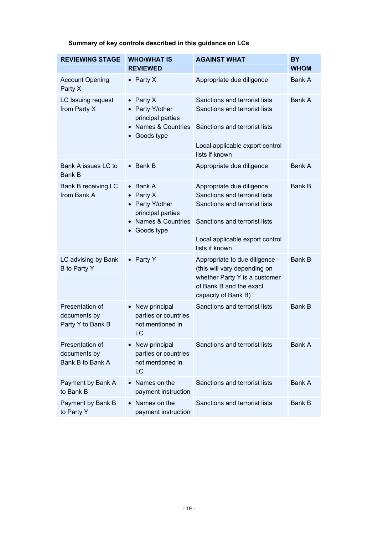| <b>REVIEWING STAGE</b>                               | <b>WHO/WHAT IS</b><br><b>REVIEWED</b>                                                                                      | <b>AGAINST WHAT</b>                                                                                                                                                               | <b>BY</b><br><b>WHOM</b> |
|------------------------------------------------------|----------------------------------------------------------------------------------------------------------------------------|-----------------------------------------------------------------------------------------------------------------------------------------------------------------------------------|--------------------------|
| <b>Account Opening</b><br>Party X                    | • Party $X$                                                                                                                | Appropriate due diligence                                                                                                                                                         | Bank A                   |
| LC Issuing request<br>from Party X                   | Party X<br>$\bullet$<br>• Party Y/other<br>principal parties<br>• Names & Countries<br>Goods type                          | Sanctions and terrorist lists<br>Sanctions and terrorist lists<br>Sanctions and terrorist lists<br>Local applicable export control<br>lists if known                              | Bank A                   |
| Bank A issues LC to<br><b>Bank B</b>                 | $\bullet$ Bank B                                                                                                           | Appropriate due diligence                                                                                                                                                         | <b>Bank A</b>            |
| Bank B receiving LC<br>from Bank A                   | Bank A<br>$\bullet$<br>Party X<br>$\bullet$<br>• Party Y/other<br>principal parties<br>• Names & Countries<br>• Goods type | Appropriate due diligence<br>Sanctions and terrorist lists<br>Sanctions and terrorist lists<br>Sanctions and terrorist lists<br>Local applicable export control<br>lists if known | <b>Bank B</b>            |
| LC advising by Bank<br>B to Party Y                  | • Party Y                                                                                                                  | Appropriate to due diligence -<br>(this will vary depending on<br>whether Party Y is a customer<br>of Bank B and the exact<br>capacity of Bank B)                                 | <b>Bank B</b>            |
| Presentation of<br>documents by<br>Party Y to Bank B | • New principal<br>parties or countries<br>not mentioned in<br>LC                                                          | Sanctions and terrorist lists                                                                                                                                                     | <b>Bank B</b>            |
| Presentation of<br>documents by<br>Bank B to Bank A  | New principal<br>parties or countries<br>not mentioned in<br>LC                                                            | Sanctions and terrorist lists                                                                                                                                                     | Bank A                   |
| Payment by Bank A<br>to Bank B                       | Names on the<br>payment instruction                                                                                        | Sanctions and terrorist lists                                                                                                                                                     | Bank A                   |
| Payment by Bank B<br>to Party Y                      | Names on the<br>$\bullet$<br>payment instruction                                                                           | Sanctions and terrorist lists                                                                                                                                                     | Bank B                   |

**Summary of key controls described in this guidance on LCs**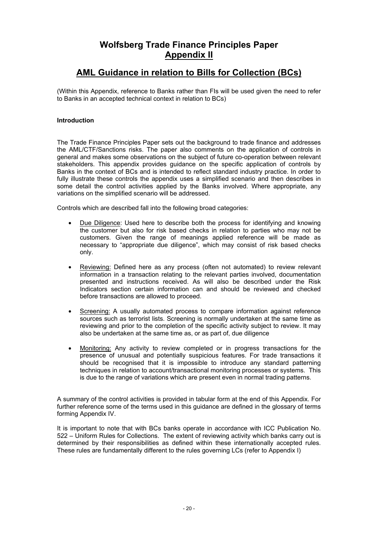# **Wolfsberg Trade Finance Principles Paper Appendix II**

# **AML Guidance in relation to Bills for Collection (BCs)**

(Within this Appendix, reference to Banks rather than FIs will be used given the need to refer to Banks in an accepted technical context in relation to BCs)

# **Introduction**

The Trade Finance Principles Paper sets out the background to trade finance and addresses the AML/CTF/Sanctions risks. The paper also comments on the application of controls in general and makes some observations on the subject of future co-operation between relevant stakeholders. This appendix provides guidance on the specific application of controls by Banks in the context of BCs and is intended to reflect standard industry practice. In order to fully illustrate these controls the appendix uses a simplified scenario and then describes in some detail the control activities applied by the Banks involved. Where appropriate, any variations on the simplified scenario will be addressed.

Controls which are described fall into the following broad categories:

- Due Diligence: Used here to describe both the process for identifying and knowing the customer but also for risk based checks in relation to parties who may not be customers. Given the range of meanings applied reference will be made as necessary to "appropriate due diligence", which may consist of risk based checks only.
- Reviewing: Defined here as any process (often not automated) to review relevant information in a transaction relating to the relevant parties involved, documentation presented and instructions received. As will also be described under the Risk Indicators section certain information can and should be reviewed and checked before transactions are allowed to proceed.
- Screening: A usually automated process to compare information against reference sources such as terrorist lists. Screening is normally undertaken at the same time as reviewing and prior to the completion of the specific activity subject to review. It may also be undertaken at the same time as, or as part of, due diligence
- Monitoring: Any activity to review completed or in progress transactions for the presence of unusual and potentially suspicious features. For trade transactions it should be recognised that it is impossible to introduce any standard patterning techniques in relation to account/transactional monitoring processes or systems. This is due to the range of variations which are present even in normal trading patterns.

A summary of the control activities is provided in tabular form at the end of this Appendix. For further reference some of the terms used in this guidance are defined in the glossary of terms forming Appendix IV.

It is important to note that with BCs banks operate in accordance with ICC Publication No. 522 – Uniform Rules for Collections. The extent of reviewing activity which banks carry out is determined by their responsibilities as defined within these internationally accepted rules. These rules are fundamentally different to the rules governing LCs (refer to Appendix I)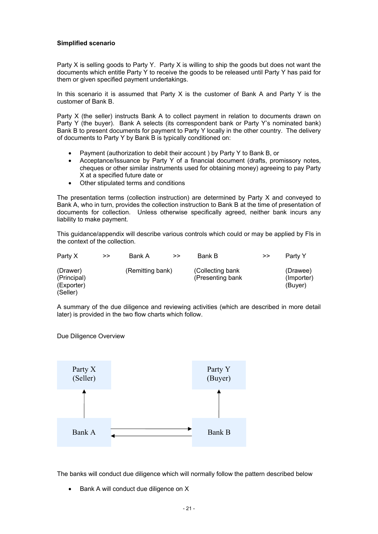# **Simplified scenario**

Party X is selling goods to Party Y. Party X is willing to ship the goods but does not want the documents which entitle Party Y to receive the goods to be released until Party Y has paid for them or given specified payment undertakings.

In this scenario it is assumed that Party  $X$  is the customer of Bank A and Party Y is the customer of Bank B.

Party X (the seller) instructs Bank A to collect payment in relation to documents drawn on Party Y (the buyer). Bank A selects (its correspondent bank or Party Y's nominated bank) Bank B to present documents for payment to Party Y locally in the other country. The delivery of documents to Party Y by Bank B is typically conditioned on:

- Payment (authorization to debit their account ) by Party Y to Bank B, or
- Acceptance/Issuance by Party Y of a financial document (drafts, promissory notes, cheques or other similar instruments used for obtaining money) agreeing to pay Party X at a specified future date or
- Other stipulated terms and conditions

The presentation terms (collection instruction) are determined by Party X and conveyed to Bank A, who in turn, provides the collection instruction to Bank B at the time of presentation of documents for collection. Unless otherwise specifically agreed, neither bank incurs any liability to make payment.

This guidance/appendix will describe various controls which could or may be applied by FIs in the context of the collection.

| Party X                                           | >> | Bank A           | >> | Bank B                                 | >> | Party Y                           |
|---------------------------------------------------|----|------------------|----|----------------------------------------|----|-----------------------------------|
| (Drawer)<br>(Principal)<br>(Exporter)<br>(Seller) |    | (Remitting bank) |    | (Collecting bank)<br>(Presenting bank) |    | (Drawee)<br>(Importer)<br>(Buver) |

A summary of the due diligence and reviewing activities (which are described in more detail later) is provided in the two flow charts which follow.

Due Diligence Overview



The banks will conduct due diligence which will normally follow the pattern described below

• Bank A will conduct due diligence on X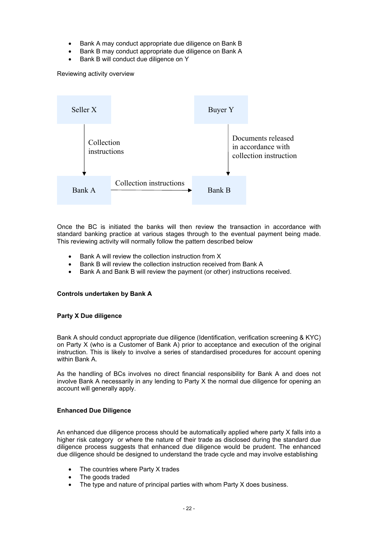- Bank A may conduct appropriate due diligence on Bank B
- Bank B may conduct appropriate due diligence on Bank A
- Bank B will conduct due diligence on Y

Reviewing activity overview



Once the BC is initiated the banks will then review the transaction in accordance with standard banking practice at various stages through to the eventual payment being made. This reviewing activity will normally follow the pattern described below

- Bank A will review the collection instruction from X
- Bank B will review the collection instruction received from Bank A
- Bank A and Bank B will review the payment (or other) instructions received.

#### **Controls undertaken by Bank A**

#### **Party X Due diligence**

Bank A should conduct appropriate due diligence (Identification, verification screening & KYC) on Party X (who is a Customer of Bank A) prior to acceptance and execution of the original instruction. This is likely to involve a series of standardised procedures for account opening within Bank A.

As the handling of BCs involves no direct financial responsibility for Bank A and does not involve Bank A necessarily in any lending to Party X the normal due diligence for opening an account will generally apply.

# **Enhanced Due Diligence**

An enhanced due diligence process should be automatically applied where party X falls into a higher risk category or where the nature of their trade as disclosed during the standard due diligence process suggests that enhanced due diligence would be prudent. The enhanced due diligence should be designed to understand the trade cycle and may involve establishing

- The countries where Party X trades
- The goods traded
- The type and nature of principal parties with whom Party X does business.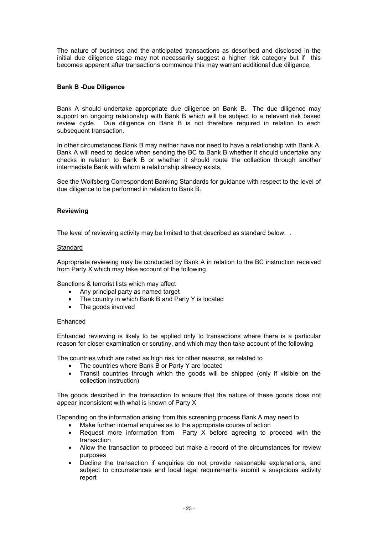The nature of business and the anticipated transactions as described and disclosed in the initial due diligence stage may not necessarily suggest a higher risk category but if this becomes apparent after transactions commence this may warrant additional due diligence.

## **Bank B -Due Diligence**

Bank A should undertake appropriate due diligence on Bank B. The due diligence may support an ongoing relationship with Bank B which will be subject to a relevant risk based review cycle. Due diligence on Bank B is not therefore required in relation to each subsequent transaction.

In other circumstances Bank B may neither have nor need to have a relationship with Bank A. Bank A will need to decide when sending the BC to Bank B whether it should undertake any checks in relation to Bank B or whether it should route the collection through another intermediate Bank with whom a relationship already exists.

See the Wolfsberg Correspondent Banking Standards for guidance with respect to the level of due diligence to be performed in relation to Bank B.

#### **Reviewing**

The level of reviewing activity may be limited to that described as standard below. .

#### **Standard**

Appropriate reviewing may be conducted by Bank A in relation to the BC instruction received from Party X which may take account of the following.

Sanctions & terrorist lists which may affect

- Any principal party as named target
- The country in which Bank B and Party Y is located
- The goods involved

#### Enhanced

Enhanced reviewing is likely to be applied only to transactions where there is a particular reason for closer examination or scrutiny, and which may then take account of the following

The countries which are rated as high risk for other reasons, as related to

- The countries where Bank B or Party Y are located
- Transit countries through which the goods will be shipped (only if visible on the collection instruction)

The goods described in the transaction to ensure that the nature of these goods does not appear inconsistent with what is known of Party X

Depending on the information arising from this screening process Bank A may need to

- Make further internal enquires as to the appropriate course of action
- Request more information from Party X before agreeing to proceed with the transaction
- Allow the transaction to proceed but make a record of the circumstances for review purposes
- Decline the transaction if enquiries do not provide reasonable explanations, and subject to circumstances and local legal requirements submit a suspicious activity report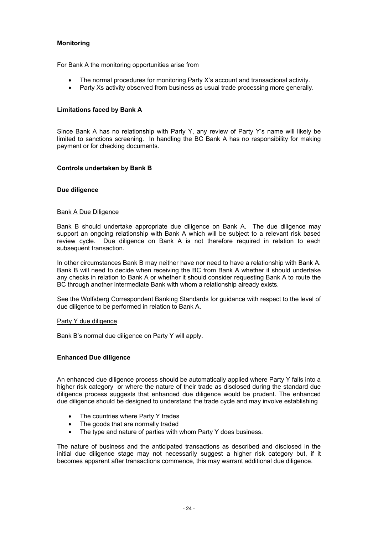# **Monitoring**

For Bank A the monitoring opportunities arise from

- The normal procedures for monitoring Party X's account and transactional activity.
- Party Xs activity observed from business as usual trade processing more generally.

## **Limitations faced by Bank A**

Since Bank A has no relationship with Party Y, any review of Party Y's name will likely be limited to sanctions screening. In handling the BC Bank A has no responsibility for making payment or for checking documents.

#### **Controls undertaken by Bank B**

#### **Due diligence**

#### Bank A Due Diligence

Bank B should undertake appropriate due diligence on Bank A. The due diligence may support an ongoing relationship with Bank A which will be subject to a relevant risk based review cycle. Due diligence on Bank A is not therefore required in relation to each subsequent transaction.

In other circumstances Bank B may neither have nor need to have a relationship with Bank A. Bank B will need to decide when receiving the BC from Bank A whether it should undertake any checks in relation to Bank A or whether it should consider requesting Bank A to route the BC through another intermediate Bank with whom a relationship already exists.

See the Wolfsberg Correspondent Banking Standards for guidance with respect to the level of due diligence to be performed in relation to Bank A.

#### Party Y due diligence

Bank B's normal due diligence on Party Y will apply.

#### **Enhanced Due diligence**

An enhanced due diligence process should be automatically applied where Party Y falls into a higher risk category or where the nature of their trade as disclosed during the standard due diligence process suggests that enhanced due diligence would be prudent. The enhanced due diligence should be designed to understand the trade cycle and may involve establishing

- The countries where Party Y trades
- The goods that are normally traded
- The type and nature of parties with whom Party Y does business.

The nature of business and the anticipated transactions as described and disclosed in the initial due diligence stage may not necessarily suggest a higher risk category but, if it becomes apparent after transactions commence, this may warrant additional due diligence.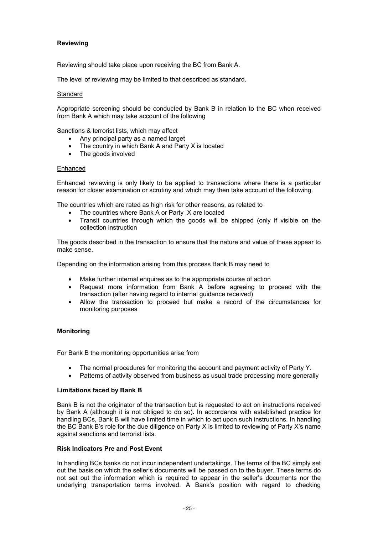# **Reviewing**

Reviewing should take place upon receiving the BC from Bank A.

The level of reviewing may be limited to that described as standard.

#### **Standard**

Appropriate screening should be conducted by Bank B in relation to the BC when received from Bank A which may take account of the following

Sanctions & terrorist lists, which may affect

- Any principal party as a named target
- The country in which Bank A and Party X is located
- The goods involved

#### Enhanced

Enhanced reviewing is only likely to be applied to transactions where there is a particular reason for closer examination or scrutiny and which may then take account of the following.

The countries which are rated as high risk for other reasons, as related to

- The countries where Bank A or Party X are located
- Transit countries through which the goods will be shipped (only if visible on the collection instruction

The goods described in the transaction to ensure that the nature and value of these appear to make sense.

Depending on the information arising from this process Bank B may need to

- Make further internal enquires as to the appropriate course of action
- Request more information from Bank A before agreeing to proceed with the transaction (after having regard to internal guidance received)
- Allow the transaction to proceed but make a record of the circumstances for monitoring purposes

# **Monitoring**

For Bank B the monitoring opportunities arise from

- The normal procedures for monitoring the account and payment activity of Party Y.
- Patterns of activity observed from business as usual trade processing more generally

#### **Limitations faced by Bank B**

Bank B is not the originator of the transaction but is requested to act on instructions received by Bank A (although it is not obliged to do so). In accordance with established practice for handling BCs, Bank B will have limited time in which to act upon such instructions. In handling the BC Bank B's role for the due diligence on Party X is limited to reviewing of Party X's name against sanctions and terrorist lists.

#### **Risk Indicators Pre and Post Event**

In handling BCs banks do not incur independent undertakings. The terms of the BC simply set out the basis on which the seller's documents will be passed on to the buyer. These terms do not set out the information which is required to appear in the seller's documents nor the underlying transportation terms involved. A Bank's position with regard to checking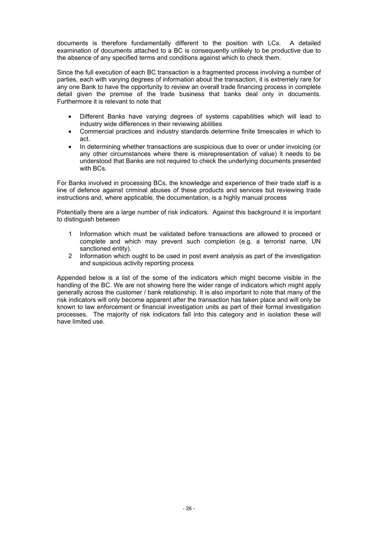documents is therefore fundamentally different to the position with LCs. A detailed examination of documents attached to a BC is consequently unlikely to be productive due to the absence of any specified terms and conditions against which to check them.

Since the full execution of each BC transaction is a fragmented process involving a number of parties, each with varying degrees of information about the transaction, it is extremely rare for any one Bank to have the opportunity to review an overall trade financing process in complete detail given the premise of the trade business that banks deal only in documents. Furthermore it is relevant to note that

- Different Banks have varying degrees of systems capabilities which will lead to industry wide differences in their reviewing abilities
- Commercial practices and industry standards determine finite timescales in which to act.
- In determining whether transactions are suspicious due to over or under invoicing (or any other circumstances where there is misrepresentation of value) it needs to be understood that Banks are not required to check the underlying documents presented with BCs.

For Banks involved in processing BCs, the knowledge and experience of their trade staff is a line of defence against criminal abuses of these products and services but reviewing trade instructions and, where applicable, the documentation, is a highly manual process

Potentially there are a large number of risk indicators. Against this background it is important to distinguish between

- 1 Information which must be validated before transactions are allowed to proceed or complete and which may prevent such completion (e.g. a terrorist name, UN sanctioned entity).
- 2 Information which ought to be used in post event analysis as part of the investigation and suspicious activity reporting process

Appended below is a list of the some of the indicators which might become visible in the handling of the BC. We are not showing here the wider range of indicators which might apply generally across the customer / bank relationship. It is also important to note that many of the risk indicators will only become apparent after the transaction has taken place and will only be known to law enforcement or financial investigation units as part of their formal investigation processes. The majority of risk indicators fall into this category and in isolation these will have limited use.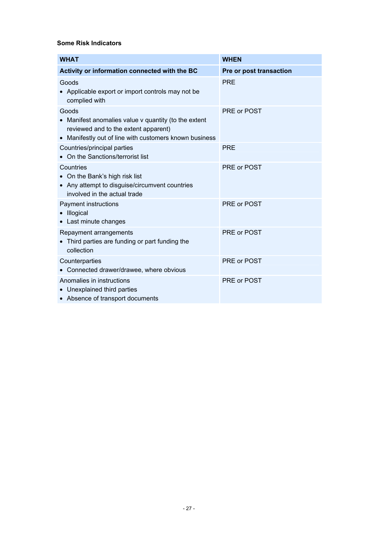# **Some Risk Indicators**

| <b>WHAT</b>                                                                                                                                                   | <b>WHEN</b>             |
|---------------------------------------------------------------------------------------------------------------------------------------------------------------|-------------------------|
| Activity or information connected with the BC                                                                                                                 | Pre or post transaction |
| Goods<br>• Applicable export or import controls may not be<br>complied with                                                                                   | <b>PRE</b>              |
| Goods<br>Manifest anomalies value v quantity (to the extent<br>reviewed and to the extent apparent)<br>• Manifestly out of line with customers known business | PRE or POST             |
| Countries/principal parties<br>• On the Sanctions/terrorist list                                                                                              | <b>PRE</b>              |
| Countries<br>• On the Bank's high risk list<br>• Any attempt to disguise/circumvent countries<br>involved in the actual trade                                 | PRE or POST             |
| Payment instructions<br>• Illogical<br>• Last minute changes                                                                                                  | PRE or POST             |
| Repayment arrangements<br>• Third parties are funding or part funding the<br>collection                                                                       | PRE or POST             |
| Counterparties<br>• Connected drawer/drawee, where obvious                                                                                                    | PRE or POST             |
| Anomalies in instructions<br>• Unexplained third parties<br>• Absence of transport documents                                                                  | PRE or POST             |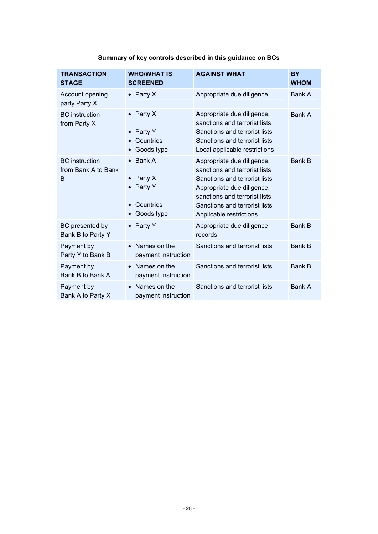| <b>TRANSACTION</b><br><b>STAGE</b>                | <b>WHO/WHAT IS</b><br><b>SCREENED</b>                                             | <b>AGAINST WHAT</b>                                                                                                                                                                                                     | <b>BY</b><br><b>WHOM</b> |
|---------------------------------------------------|-----------------------------------------------------------------------------------|-------------------------------------------------------------------------------------------------------------------------------------------------------------------------------------------------------------------------|--------------------------|
| Account opening<br>party Party X                  | • Party $X$                                                                       | Appropriate due diligence                                                                                                                                                                                               | Bank A                   |
| <b>BC</b> instruction<br>from Party X             | • Party $X$<br>Party Y<br>Countries<br>Goods type<br>$\bullet$                    | Appropriate due diligence,<br>sanctions and terrorist lists<br>Sanctions and terrorist lists<br>Sanctions and terrorist lists<br>Local applicable restrictions                                                          | Bank A                   |
| <b>BC</b> instruction<br>from Bank A to Bank<br>B | Bank A<br>Party X<br>$\bullet$<br>Party Y<br>$\bullet$<br>Countries<br>Goods type | Appropriate due diligence,<br>sanctions and terrorist lists<br>Sanctions and terrorist lists<br>Appropriate due diligence,<br>sanctions and terrorist lists<br>Sanctions and terrorist lists<br>Applicable restrictions | Bank B                   |
| BC presented by<br>Bank B to Party Y              | Party Y                                                                           | Appropriate due diligence<br>records                                                                                                                                                                                    | <b>Bank B</b>            |
| Payment by<br>Party Y to Bank B                   | Names on the<br>payment instruction                                               | Sanctions and terrorist lists                                                                                                                                                                                           | <b>Bank B</b>            |
| Payment by<br>Bank B to Bank A                    | Names on the<br>payment instruction                                               | Sanctions and terrorist lists                                                                                                                                                                                           | <b>Bank B</b>            |
| Payment by<br>Bank A to Party X                   | Names on the<br>$\bullet$<br>payment instruction                                  | Sanctions and terrorist lists                                                                                                                                                                                           | Bank A                   |

# **Summary of key controls described in this guidance on BCs**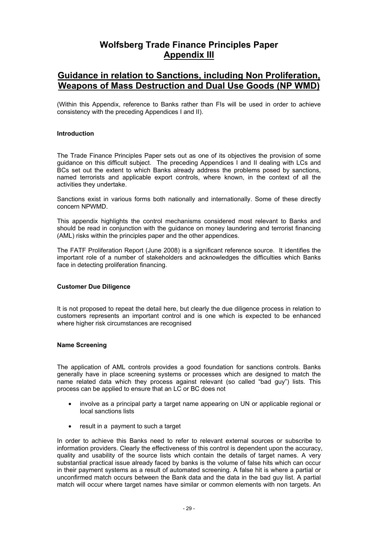# **Wolfsberg Trade Finance Principles Paper Appendix III**

# **Guidance in relation to Sanctions, including Non Proliferation, Weapons of Mass Destruction and Dual Use Goods (NP WMD)**

(Within this Appendix, reference to Banks rather than FIs will be used in order to achieve consistency with the preceding Appendices I and II).

#### **Introduction**

The Trade Finance Principles Paper sets out as one of its objectives the provision of some guidance on this difficult subject. The preceding Appendices I and II dealing with LCs and BCs set out the extent to which Banks already address the problems posed by sanctions, named terrorists and applicable export controls, where known, in the context of all the activities they undertake.

Sanctions exist in various forms both nationally and internationally. Some of these directly concern NPWMD.

This appendix highlights the control mechanisms considered most relevant to Banks and should be read in conjunction with the guidance on money laundering and terrorist financing (AML) risks within the principles paper and the other appendices.

The FATF Proliferation Report (June 2008) is a significant reference source. It identifies the important role of a number of stakeholders and acknowledges the difficulties which Banks face in detecting proliferation financing.

#### **Customer Due Diligence**

It is not proposed to repeat the detail here, but clearly the due diligence process in relation to customers represents an important control and is one which is expected to be enhanced where higher risk circumstances are recognised

#### **Name Screening**

The application of AML controls provides a good foundation for sanctions controls. Banks generally have in place screening systems or processes which are designed to match the name related data which they process against relevant (so called "bad guy") lists. This process can be applied to ensure that an LC or BC does not

- involve as a principal party a target name appearing on UN or applicable regional or local sanctions lists
- result in a payment to such a target

In order to achieve this Banks need to refer to relevant external sources or subscribe to information providers. Clearly the effectiveness of this control is dependent upon the accuracy, quality and usability of the source lists which contain the details of target names. A very substantial practical issue already faced by banks is the volume of false hits which can occur in their payment systems as a result of automated screening. A false hit is where a partial or unconfirmed match occurs between the Bank data and the data in the bad guy list. A partial match will occur where target names have similar or common elements with non targets. An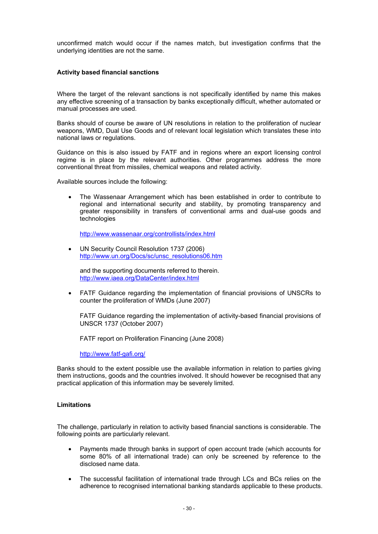unconfirmed match would occur if the names match, but investigation confirms that the underlying identities are not the same.

#### **Activity based financial sanctions**

Where the target of the relevant sanctions is not specifically identified by name this makes any effective screening of a transaction by banks exceptionally difficult, whether automated or manual processes are used.

Banks should of course be aware of UN resolutions in relation to the proliferation of nuclear weapons, WMD, Dual Use Goods and of relevant local legislation which translates these into national laws or regulations.

Guidance on this is also issued by FATF and in regions where an export licensing control regime is in place by the relevant authorities. Other programmes address the more conventional threat from missiles, chemical weapons and related activity.

Available sources include the following:

• The Wassenaar Arrangement which has been established in order to contribute to regional and international security and stability, by promoting transparency and greater responsibility in transfers of conventional arms and dual-use goods and technologies

http://www.wassenaar.org/controllists/index.html

UN Security Council Resolution 1737 (2006) [http://www.un.org/Docs/sc/unsc\\_resolutions06.htm](http://www.un.org/Docs/sc/unsc_resolutions06.htm)

and the supporting documents referred to therein. <http://www.iaea.org/DataCenter/index.html>

• FATF Guidance regarding the implementation of financial provisions of UNSCRs to counter the proliferation of WMDs (June 2007)

FATF Guidance regarding the implementation of activity-based financial provisions of UNSCR 1737 (October 2007)

FATF report on Proliferation Financing (June 2008)

http://www.fatf-gafi.org/

Banks should to the extent possible use the available information in relation to parties giving them instructions, goods and the countries involved. It should however be recognised that any practical application of this information may be severely limited.

#### **Limitations**

The challenge, particularly in relation to activity based financial sanctions is considerable. The following points are particularly relevant.

- Payments made through banks in support of open account trade (which accounts for some 80% of all international trade) can only be screened by reference to the disclosed name data.
- The successful facilitation of international trade through LCs and BCs relies on the adherence to recognised international banking standards applicable to these products.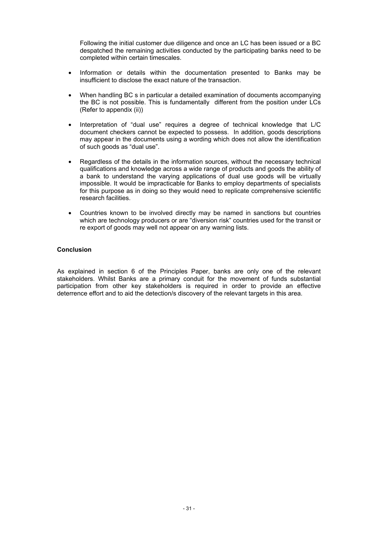Following the initial customer due diligence and once an LC has been issued or a BC despatched the remaining activities conducted by the participating banks need to be completed within certain timescales.

- Information or details within the documentation presented to Banks may be insufficient to disclose the exact nature of the transaction.
- When handling BC s in particular a detailed examination of documents accompanying the BC is not possible. This is fundamentally different from the position under LCs (Refer to appendix (ii))
- Interpretation of "dual use" requires a degree of technical knowledge that L/C document checkers cannot be expected to possess. In addition, goods descriptions may appear in the documents using a wording which does not allow the identification of such goods as "dual use".
- Regardless of the details in the information sources, without the necessary technical qualifications and knowledge across a wide range of products and goods the ability of a bank to understand the varying applications of dual use goods will be virtually impossible. It would be impracticable for Banks to employ departments of specialists for this purpose as in doing so they would need to replicate comprehensive scientific research facilities.
- Countries known to be involved directly may be named in sanctions but countries which are technology producers or are "diversion risk" countries used for the transit or re export of goods may well not appear on any warning lists.

## **Conclusion**

As explained in section 6 of the Principles Paper, banks are only one of the relevant stakeholders. Whilst Banks are a primary conduit for the movement of funds substantial participation from other key stakeholders is required in order to provide an effective deterrence effort and to aid the detection/s discovery of the relevant targets in this area.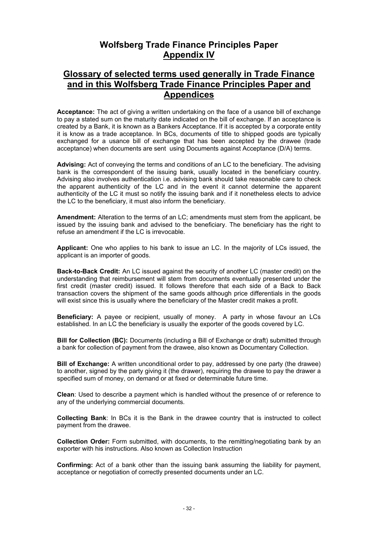# **Wolfsberg Trade Finance Principles Paper Appendix IV**

# **Glossary of selected terms used generally in Trade Finance and in this Wolfsberg Trade Finance Principles Paper and Appendices**

**Acceptance:** The act of giving a written undertaking on the face of a usance bill of exchange to pay a stated sum on the maturity date indicated on the bill of exchange. If an acceptance is created by a Bank, it is known as a Bankers Acceptance. If it is accepted by a corporate entity it is know as a trade acceptance. In BCs, documents of title to shipped goods are typically exchanged for a usance bill of exchange that has been accepted by the drawee (trade acceptance) when documents are sent using Documents against Acceptance (D/A) terms.

**Advising:** Act of conveying the terms and conditions of an LC to the beneficiary. The advising bank is the correspondent of the issuing bank, usually located in the beneficiary country. Advising also involves authentication i.e. advising bank should take reasonable care to check the apparent authenticity of the LC and in the event it cannot determine the apparent authenticity of the LC it must so notify the issuing bank and if it nonetheless elects to advice the LC to the beneficiary, it must also inform the beneficiary.

**Amendment:** Alteration to the terms of an LC; amendments must stem from the applicant, be issued by the issuing bank and advised to the beneficiary. The beneficiary has the right to refuse an amendment if the LC is irrevocable.

**Applicant:** One who applies to his bank to issue an LC. In the majority of LCs issued, the applicant is an importer of goods.

**Back-to-Back Credit:** An LC issued against the security of another LC (master credit) on the understanding that reimbursement will stem from documents eventually presented under the first credit (master credit) issued. It follows therefore that each side of a Back to Back transaction covers the shipment of the same goods although price differentials in the goods will exist since this is usually where the beneficiary of the Master credit makes a profit.

**Beneficiary:** A payee or recipient, usually of money. A party in whose favour an LCs established. In an LC the beneficiary is usually the exporter of the goods covered by LC.

**Bill for Collection (BC):** Documents (including a Bill of Exchange or draft) submitted through a bank for collection of payment from the drawee, also known as Documentary Collection.

**Bill of Exchange:** A written unconditional order to pay, addressed by one party (the drawee) to another, signed by the party giving it (the drawer), requiring the drawee to pay the drawer a specified sum of money, on demand or at fixed or determinable future time.

**Clean**: Used to describe a payment which is handled without the presence of or reference to any of the underlying commercial documents.

**Collecting Bank**: In BCs it is the Bank in the drawee country that is instructed to collect payment from the drawee.

**Collection Order:** Form submitted, with documents, to the remitting/negotiating bank by an exporter with his instructions. Also known as Collection Instruction

**Confirming:** Act of a bank other than the issuing bank assuming the liability for payment, acceptance or negotiation of correctly presented documents under an LC.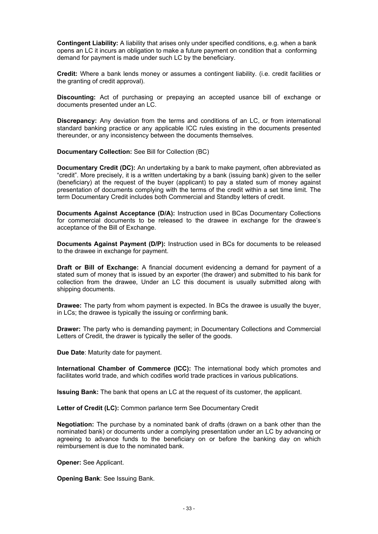**Contingent Liability:** A liability that arises only under specified conditions, e.g. when a bank opens an LC it incurs an obligation to make a future payment on condition that a conforming demand for payment is made under such LC by the beneficiary.

**Credit:** Where a bank lends money or assumes a contingent liability. (i.e. credit facilities or the granting of credit approval).

**Discounting:** Act of purchasing or prepaying an accepted usance bill of exchange or documents presented under an LC.

**Discrepancy:** Any deviation from the terms and conditions of an LC, or from international standard banking practice or any applicable ICC rules existing in the documents presented thereunder, or any inconsistency between the documents themselves.

**Documentary Collection:** See Bill for Collection (BC)

**Documentary Credit (DC):** An undertaking by a bank to make payment, often abbreviated as "credit". More precisely, it is a written undertaking by a bank (issuing bank) given to the seller (beneficiary) at the request of the buyer (applicant) to pay a stated sum of money against presentation of documents complying with the terms of the credit within a set time limit. The term Documentary Credit includes both Commercial and Standby letters of credit.

**Documents Against Acceptance (D/A):** Instruction used in BCas Documentary Collections for commercial documents to be released to the drawee in exchange for the drawee's acceptance of the Bill of Exchange.

**Documents Against Payment (D/P):** Instruction used in BCs for documents to be released to the drawee in exchange for payment.

**Draft or Bill of Exchange:** A financial document evidencing a demand for payment of a stated sum of money that is issued by an exporter (the drawer) and submitted to his bank for collection from the drawee, Under an LC this document is usually submitted along with shipping documents.

**Drawee:** The party from whom payment is expected. In BCs the drawee is usually the buyer, in LCs; the drawee is typically the issuing or confirming bank.

**Drawer:** The party who is demanding payment; in Documentary Collections and Commercial Letters of Credit, the drawer is typically the seller of the goods.

**Due Date**: Maturity date for payment.

**International Chamber of Commerce (ICC):** The international body which promotes and facilitates world trade, and which codifies world trade practices in various publications.

**Issuing Bank:** The bank that opens an LC at the request of its customer, the applicant.

**Letter of Credit (LC):** Common parlance term See Documentary Credit

**Negotiation:** The purchase by a nominated bank of drafts (drawn on a bank other than the nominated bank) or documents under a complying presentation under an LC by advancing or agreeing to advance funds to the beneficiary on or before the banking day on which reimbursement is due to the nominated bank.

**Opener:** See Applicant.

**Opening Bank**: See Issuing Bank.